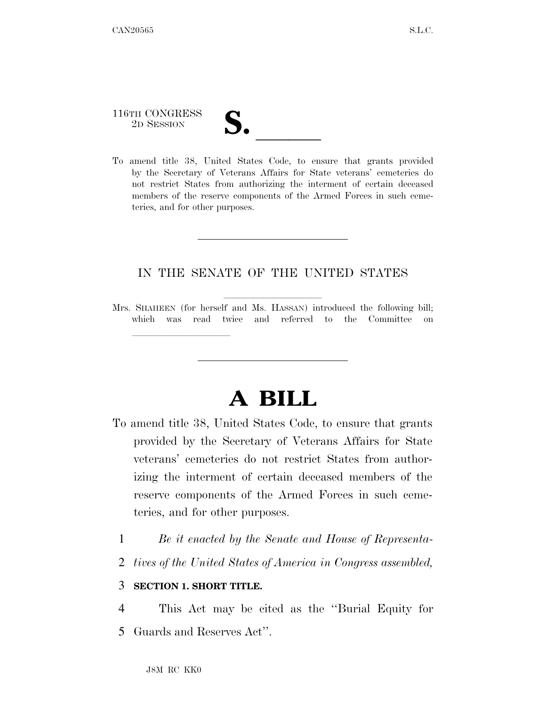116TH CONGRESS

lla se al constituir a la constituir a la constituir a la constituir a la constituir a la constituir a la cons<br>La constituir a la constituir a la constituir a la constituir a la constituir a la constituir a la constituir

116TH CONGRESS<br>
2D SESSION<br>
To amend title 38, United States Code, to ensure that grants provided by the Secretary of Veterans Affairs for State veterans' cemeteries do not restrict States from authorizing the interment of certain deceased members of the reserve components of the Armed Forces in such cemeteries, and for other purposes.

## IN THE SENATE OF THE UNITED STATES

## **A BILL**

- To amend title 38, United States Code, to ensure that grants provided by the Secretary of Veterans Affairs for State veterans' cemeteries do not restrict States from authorizing the interment of certain deceased members of the reserve components of the Armed Forces in such cemeteries, and for other purposes.
	- 1 *Be it enacted by the Senate and House of Representa-*
	- 2 *tives of the United States of America in Congress assembled,*

## 3 **SECTION 1. SHORT TITLE.**

4 This Act may be cited as the ''Burial Equity for 5 Guards and Reserves Act''.

Mrs. SHAHEEN (for herself and Ms. HASSAN) introduced the following bill; which was read twice and referred to the Committee on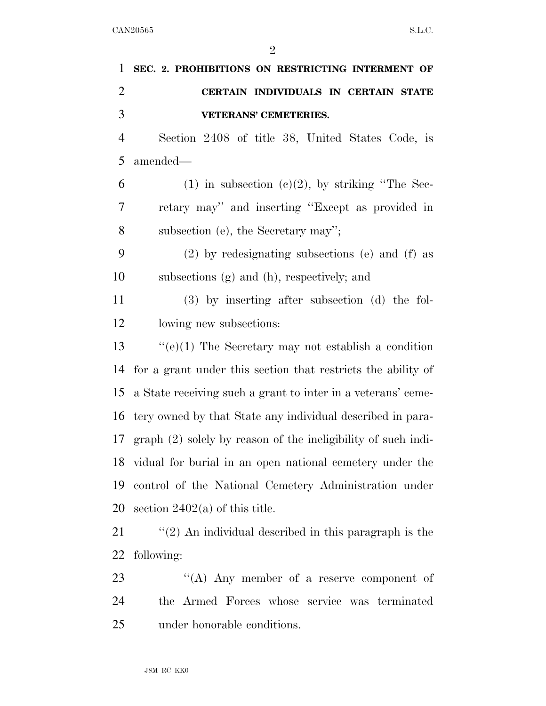| $\mathbf{1}$   | SEC. 2. PROHIBITIONS ON RESTRICTING INTERMENT OF                |
|----------------|-----------------------------------------------------------------|
| $\overline{2}$ | CERTAIN INDIVIDUALS IN CERTAIN STATE                            |
| 3              | <b>VETERANS' CEMETERIES.</b>                                    |
| $\overline{4}$ | Section 2408 of title 38, United States Code, is                |
| 5              | amended-                                                        |
| 6              | $(1)$ in subsection $(e)(2)$ , by striking "The Sec-            |
| 7              | retary may" and inserting "Except as provided in                |
| 8              | subsection (e), the Secretary may";                             |
| 9              | (2) by redesignating subsections (e) and (f) as                 |
| 10             | subsections (g) and (h), respectively; and                      |
| 11             | $(3)$ by inserting after subsection $(d)$ the fol-              |
| 12             | lowing new subsections:                                         |
| 13             | "(e)(1) The Secretary may not establish a condition             |
| 14             | for a grant under this section that restricts the ability of    |
| 15             | a State receiving such a grant to inter in a veterans' ceme-    |
| 16             | tery owned by that State any individual described in para-      |
| 17             | $graph (2) solely by reason of the ineligibility of such indi-$ |
|                | 18 vidual for burial in an open national cemetery under the     |
| 19             | control of the National Cemetery Administration under           |
| 20             | section $2402(a)$ of this title.                                |
| 21             | $\lq(2)$ An individual described in this paragraph is the       |
| 22             | following:                                                      |
| 23             | "(A) Any member of a reserve component of                       |
| 24             | the Armed Forces whose service was terminated                   |
| 25             | under honorable conditions.                                     |